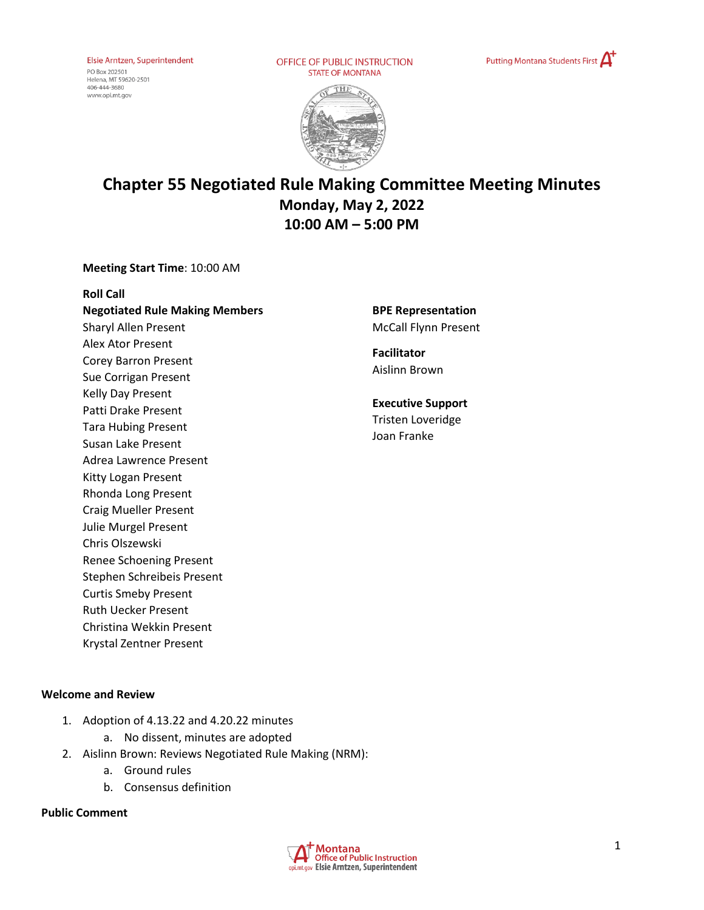Elsie Arntzen, Superintendent PO Box 202501<br>Helena, MT 59620-2501 406-444-3680

www.opi.mt.gov

OFFICE OF PUBLIC INSTRUCTION **STATE OF MONTANA** 





# **Chapter 55 Negotiated Rule Making Committee Meeting Minutes Monday, May 2, 2022 10:00 AM – 5:00 PM**

### **Meeting Start Time**: 10:00 AM

**Roll Call Negotiated Rule Making Members** Sharyl Allen Present Alex Ator Present Corey Barron Present Sue Corrigan Present Kelly Day Present Patti Drake Present Tara Hubing Present Susan Lake Present Adrea Lawrence Present Kitty Logan Present Rhonda Long Present Craig Mueller Present Julie Murgel Present Chris Olszewski Renee Schoening Present Stephen Schreibeis Present Curtis Smeby Present Ruth Uecker Present Christina Wekkin Present Krystal Zentner Present

### **BPE Representation**  McCall Flynn Present

**Facilitator** Aislinn Brown

**Executive Support** Tristen Loveridge Joan Franke

### **Welcome and Review**

- 1. Adoption of 4.13.22 and 4.20.22 minutes a. No dissent, minutes are adopted
- 2. Aislinn Brown: Reviews Negotiated Rule Making (NRM):
	- a. Ground rules
	- b. Consensus definition

### **Public Comment**

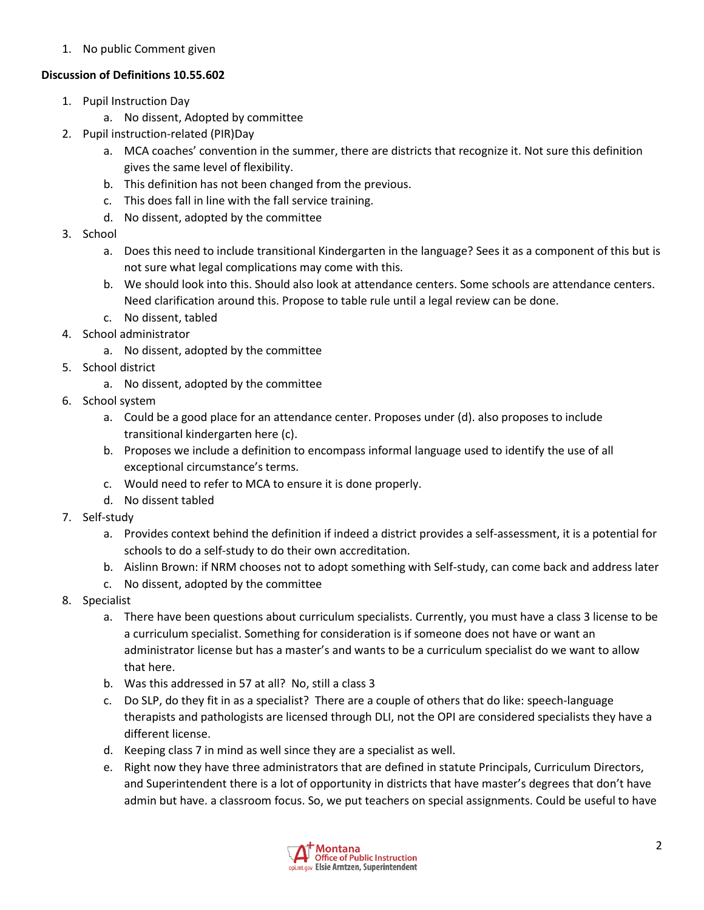1. No public Comment given

# **Discussion of Definitions 10.55.602**

- 1. Pupil Instruction Day
	- a. No dissent, Adopted by committee
- 2. Pupil instruction-related (PIR)Day
	- a. MCA coaches' convention in the summer, there are districts that recognize it. Not sure this definition gives the same level of flexibility.
	- b. This definition has not been changed from the previous.
	- c. This does fall in line with the fall service training.
	- d. No dissent, adopted by the committee
- 3. School
	- a. Does this need to include transitional Kindergarten in the language? Sees it as a component of this but is not sure what legal complications may come with this.
	- b. We should look into this. Should also look at attendance centers. Some schools are attendance centers. Need clarification around this. Propose to table rule until a legal review can be done.
	- c. No dissent, tabled
- 4. School administrator
	- a. No dissent, adopted by the committee
- 5. School district
	- a. No dissent, adopted by the committee
- 6. School system
	- a. Could be a good place for an attendance center. Proposes under (d). also proposes to include transitional kindergarten here (c).
	- b. Proposes we include a definition to encompass informal language used to identify the use of all exceptional circumstance's terms.
	- c. Would need to refer to MCA to ensure it is done properly.
	- d. No dissent tabled
- 7. Self-study
	- a. Provides context behind the definition if indeed a district provides a self-assessment, it is a potential for schools to do a self-study to do their own accreditation.
	- b. Aislinn Brown: if NRM chooses not to adopt something with Self-study, can come back and address later
	- c. No dissent, adopted by the committee
- 8. Specialist
	- a. There have been questions about curriculum specialists. Currently, you must have a class 3 license to be a curriculum specialist. Something for consideration is if someone does not have or want an administrator license but has a master's and wants to be a curriculum specialist do we want to allow that here.
	- b. Was this addressed in 57 at all? No, still a class 3
	- c. Do SLP, do they fit in as a specialist? There are a couple of others that do like: speech-language therapists and pathologists are licensed through DLI, not the OPI are considered specialists they have a different license.
	- d. Keeping class 7 in mind as well since they are a specialist as well.
	- e. Right now they have three administrators that are defined in statute Principals, Curriculum Directors, and Superintendent there is a lot of opportunity in districts that have master's degrees that don't have admin but have. a classroom focus. So, we put teachers on special assignments. Could be useful to have

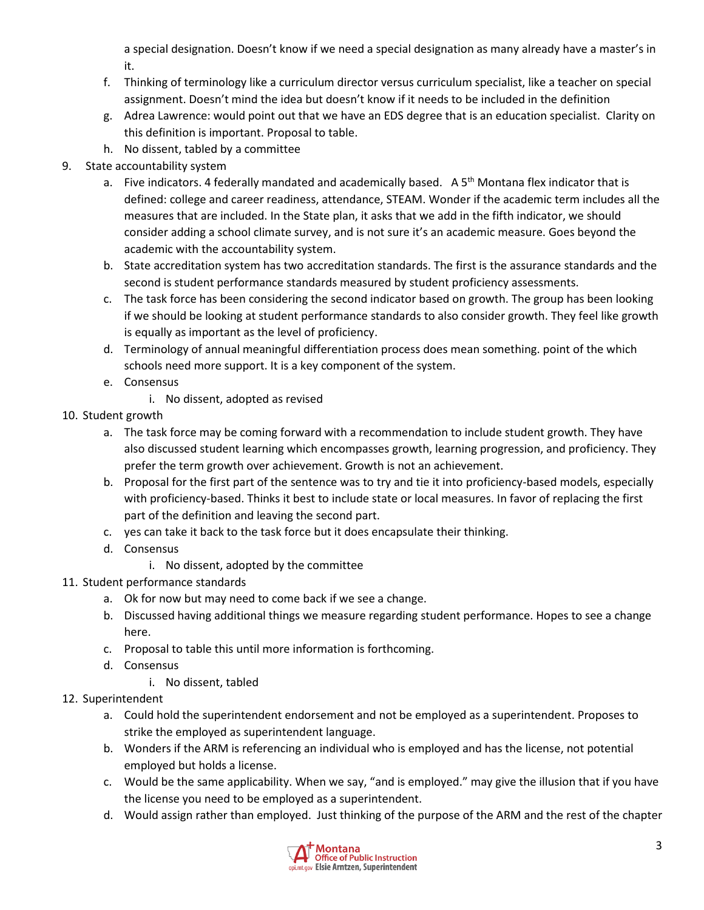a special designation. Doesn't know if we need a special designation as many already have a master's in it.

- f. Thinking of terminology like a curriculum director versus curriculum specialist, like a teacher on special assignment. Doesn't mind the idea but doesn't know if it needs to be included in the definition
- g. Adrea Lawrence: would point out that we have an EDS degree that is an education specialist. Clarity on this definition is important. Proposal to table.
- h. No dissent, tabled by a committee

# 9. State accountability system

- a. Five indicators. 4 federally mandated and academically based. A 5<sup>th</sup> Montana flex indicator that is defined: college and career readiness, attendance, STEAM. Wonder if the academic term includes all the measures that are included. In the State plan, it asks that we add in the fifth indicator, we should consider adding a school climate survey, and is not sure it's an academic measure. Goes beyond the academic with the accountability system.
- b. State accreditation system has two accreditation standards. The first is the assurance standards and the second is student performance standards measured by student proficiency assessments.
- c. The task force has been considering the second indicator based on growth. The group has been looking if we should be looking at student performance standards to also consider growth. They feel like growth is equally as important as the level of proficiency.
- d. Terminology of annual meaningful differentiation process does mean something. point of the which schools need more support. It is a key component of the system.
- e. Consensus
	- i. No dissent, adopted as revised
- 10. Student growth
	- a. The task force may be coming forward with a recommendation to include student growth. They have also discussed student learning which encompasses growth, learning progression, and proficiency. They prefer the term growth over achievement. Growth is not an achievement.
	- b. Proposal for the first part of the sentence was to try and tie it into proficiency-based models, especially with proficiency-based. Thinks it best to include state or local measures. In favor of replacing the first part of the definition and leaving the second part.
	- c. yes can take it back to the task force but it does encapsulate their thinking.
	- d. Consensus
		- i. No dissent, adopted by the committee
- 11. Student performance standards
	- a. Ok for now but may need to come back if we see a change.
	- b. Discussed having additional things we measure regarding student performance. Hopes to see a change here.
	- c. Proposal to table this until more information is forthcoming.
	- d. Consensus
		- i. No dissent, tabled
- 12. Superintendent
	- a. Could hold the superintendent endorsement and not be employed as a superintendent. Proposes to strike the employed as superintendent language.
	- b. Wonders if the ARM is referencing an individual who is employed and has the license, not potential employed but holds a license.
	- c. Would be the same applicability. When we say, "and is employed." may give the illusion that if you have the license you need to be employed as a superintendent.
	- d. Would assign rather than employed. Just thinking of the purpose of the ARM and the rest of the chapter

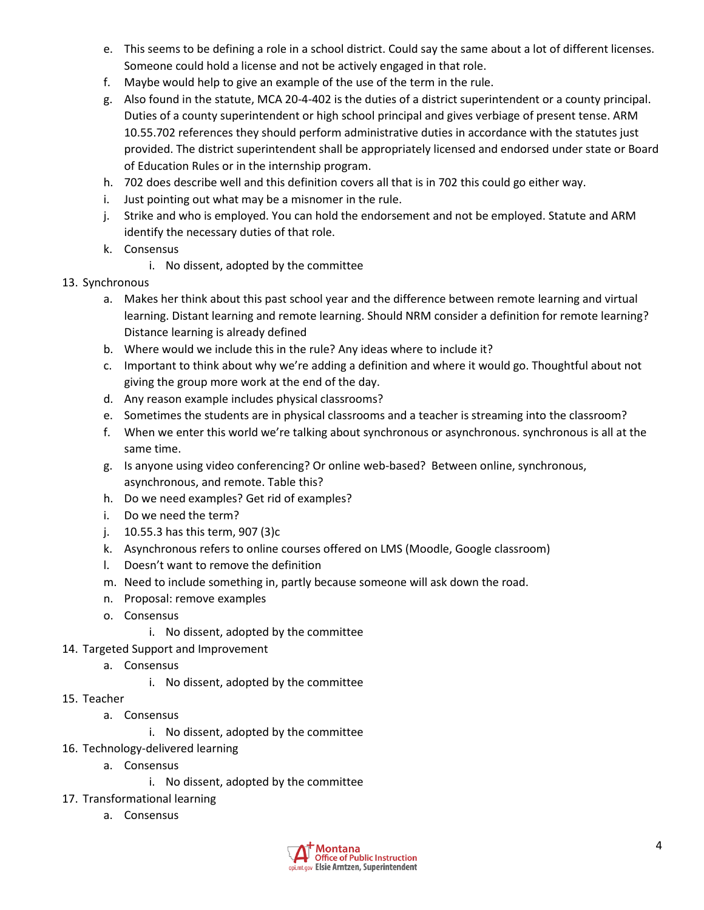- e. This seems to be defining a role in a school district. Could say the same about a lot of different licenses. Someone could hold a license and not be actively engaged in that role.
- f. Maybe would help to give an example of the use of the term in the rule.
- g. Also found in the statute, MCA 20-4-402 is the duties of a district superintendent or a county principal. Duties of a county superintendent or high school principal and gives verbiage of present tense. ARM 10.55.702 references they should perform administrative duties in accordance with the statutes just provided. The district superintendent shall be appropriately licensed and endorsed under state or Board of Education Rules or in the internship program.
- h. 702 does describe well and this definition covers all that is in 702 this could go either way.
- i. Just pointing out what may be a misnomer in the rule.
- j. Strike and who is employed. You can hold the endorsement and not be employed. Statute and ARM identify the necessary duties of that role.
- k. Consensus
	- i. No dissent, adopted by the committee
- 13. Synchronous
	- a. Makes her think about this past school year and the difference between remote learning and virtual learning. Distant learning and remote learning. Should NRM consider a definition for remote learning? Distance learning is already defined
	- b. Where would we include this in the rule? Any ideas where to include it?
	- c. Important to think about why we're adding a definition and where it would go. Thoughtful about not giving the group more work at the end of the day.
	- d. Any reason example includes physical classrooms?
	- e. Sometimes the students are in physical classrooms and a teacher is streaming into the classroom?
	- f. When we enter this world we're talking about synchronous or asynchronous. synchronous is all at the same time.
	- g. Is anyone using video conferencing? Or online web-based? Between online, synchronous, asynchronous, and remote. Table this?
	- h. Do we need examples? Get rid of examples?
	- i. Do we need the term?
	- j. 10.55.3 has this term, 907 (3)c
	- k. Asynchronous refers to online courses offered on LMS (Moodle, Google classroom)
	- l. Doesn't want to remove the definition
	- m. Need to include something in, partly because someone will ask down the road.
	- n. Proposal: remove examples
	- o. Consensus
		- i. No dissent, adopted by the committee
- 14. Targeted Support and Improvement
	- a. Consensus
		- i. No dissent, adopted by the committee
- 15. Teacher
	- a. Consensus
		- i. No dissent, adopted by the committee
- 16. Technology-delivered learning
	- a. Consensus
		- i. No dissent, adopted by the committee
- 17. Transformational learning
	- a. Consensus

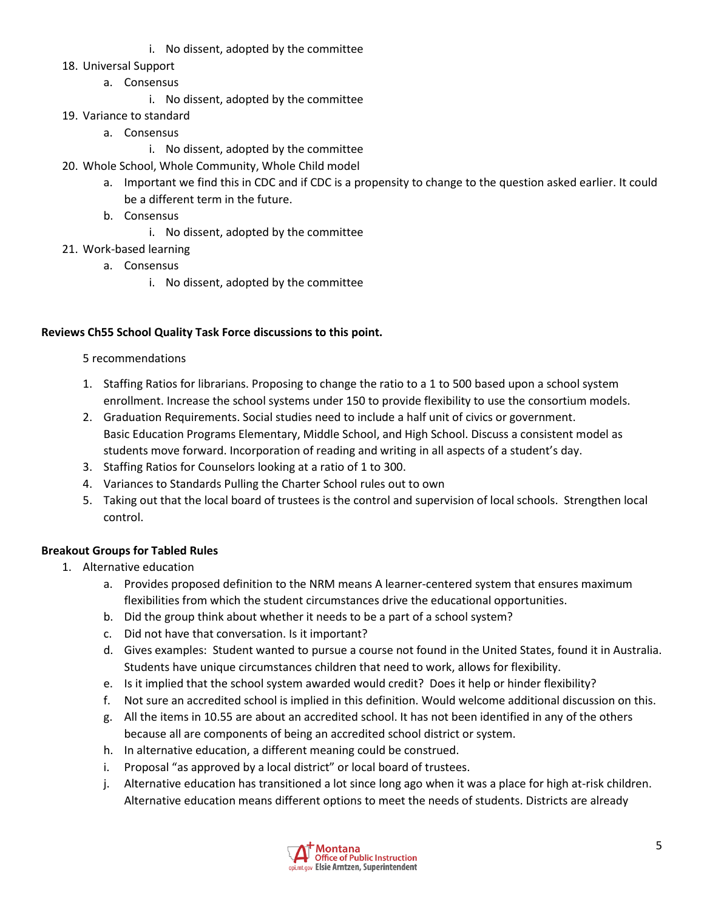- i. No dissent, adopted by the committee
- 18. Universal Support
	- a. Consensus
		- i. No dissent, adopted by the committee
- 19. Variance to standard
	- a. Consensus
		- i. No dissent, adopted by the committee
- 20. Whole School, Whole Community, Whole Child model
	- a. Important we find this in CDC and if CDC is a propensity to change to the question asked earlier. It could be a different term in the future.
	- b. Consensus
		- i. No dissent, adopted by the committee
- 21. Work-based learning
	- a. Consensus
		- i. No dissent, adopted by the committee

## **Reviews Ch55 School Quality Task Force discussions to this point.**

## 5 recommendations

- 1. Staffing Ratios for librarians. Proposing to change the ratio to a 1 to 500 based upon a school system enrollment. Increase the school systems under 150 to provide flexibility to use the consortium models.
- 2. Graduation Requirements. Social studies need to include a half unit of civics or government. Basic Education Programs Elementary, Middle School, and High School. Discuss a consistent model as students move forward. Incorporation of reading and writing in all aspects of a student's day.
- 3. Staffing Ratios for Counselors looking at a ratio of 1 to 300.
- 4. Variances to Standards Pulling the Charter School rules out to own
- 5. Taking out that the local board of trustees is the control and supervision of local schools. Strengthen local control.

## **Breakout Groups for Tabled Rules**

- 1. Alternative education
	- a. Provides proposed definition to the NRM means A learner-centered system that ensures maximum flexibilities from which the student circumstances drive the educational opportunities.
	- b. Did the group think about whether it needs to be a part of a school system?
	- c. Did not have that conversation. Is it important?
	- d. Gives examples: Student wanted to pursue a course not found in the United States, found it in Australia. Students have unique circumstances children that need to work, allows for flexibility.
	- e. Is it implied that the school system awarded would credit? Does it help or hinder flexibility?
	- f. Not sure an accredited school is implied in this definition. Would welcome additional discussion on this.
	- g. All the items in 10.55 are about an accredited school. It has not been identified in any of the others because all are components of being an accredited school district or system.
	- h. In alternative education, a different meaning could be construed.
	- i. Proposal "as approved by a local district" or local board of trustees.
	- j. Alternative education has transitioned a lot since long ago when it was a place for high at-risk children. Alternative education means different options to meet the needs of students. Districts are already

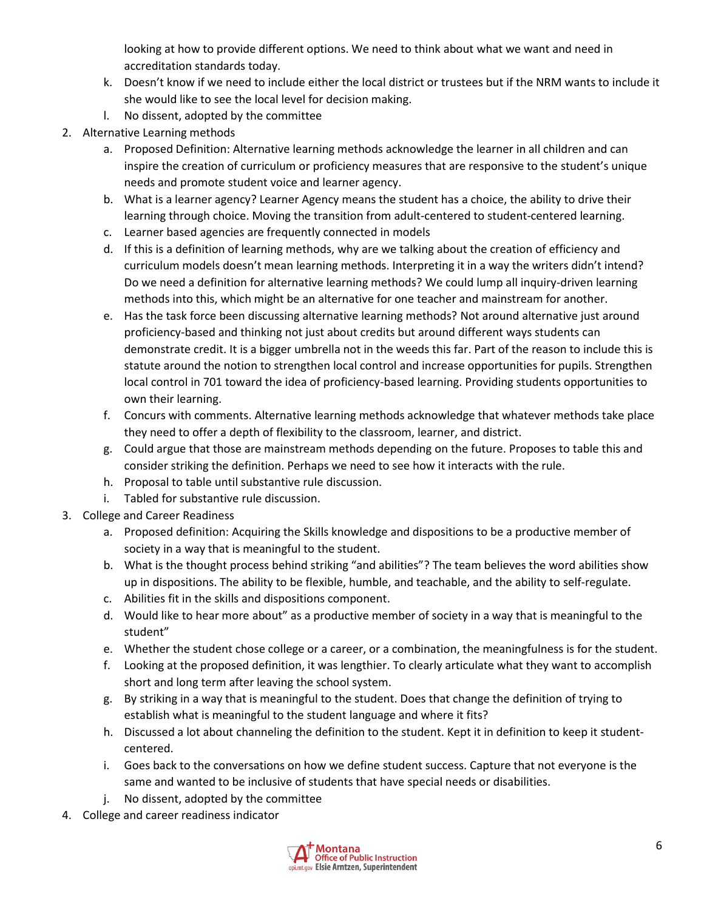looking at how to provide different options. We need to think about what we want and need in accreditation standards today.

- k. Doesn't know if we need to include either the local district or trustees but if the NRM wants to include it she would like to see the local level for decision making.
- l. No dissent, adopted by the committee
- 2. Alternative Learning methods
	- a. Proposed Definition: Alternative learning methods acknowledge the learner in all children and can inspire the creation of curriculum or proficiency measures that are responsive to the student's unique needs and promote student voice and learner agency.
	- b. What is a learner agency? Learner Agency means the student has a choice, the ability to drive their learning through choice. Moving the transition from adult-centered to student-centered learning.
	- c. Learner based agencies are frequently connected in models
	- d. If this is a definition of learning methods, why are we talking about the creation of efficiency and curriculum models doesn't mean learning methods. Interpreting it in a way the writers didn't intend? Do we need a definition for alternative learning methods? We could lump all inquiry-driven learning methods into this, which might be an alternative for one teacher and mainstream for another.
	- e. Has the task force been discussing alternative learning methods? Not around alternative just around proficiency-based and thinking not just about credits but around different ways students can demonstrate credit. It is a bigger umbrella not in the weeds this far. Part of the reason to include this is statute around the notion to strengthen local control and increase opportunities for pupils. Strengthen local control in 701 toward the idea of proficiency-based learning. Providing students opportunities to own their learning.
	- f. Concurs with comments. Alternative learning methods acknowledge that whatever methods take place they need to offer a depth of flexibility to the classroom, learner, and district.
	- g. Could argue that those are mainstream methods depending on the future. Proposes to table this and consider striking the definition. Perhaps we need to see how it interacts with the rule.
	- h. Proposal to table until substantive rule discussion.
	- i. Tabled for substantive rule discussion.
- 3. College and Career Readiness
	- a. Proposed definition: Acquiring the Skills knowledge and dispositions to be a productive member of society in a way that is meaningful to the student.
	- b. What is the thought process behind striking "and abilities"? The team believes the word abilities show up in dispositions. The ability to be flexible, humble, and teachable, and the ability to self-regulate.
	- c. Abilities fit in the skills and dispositions component.
	- d. Would like to hear more about" as a productive member of society in a way that is meaningful to the student"
	- e. Whether the student chose college or a career, or a combination, the meaningfulness is for the student.
	- f. Looking at the proposed definition, it was lengthier. To clearly articulate what they want to accomplish short and long term after leaving the school system.
	- g. By striking in a way that is meaningful to the student. Does that change the definition of trying to establish what is meaningful to the student language and where it fits?
	- h. Discussed a lot about channeling the definition to the student. Kept it in definition to keep it studentcentered.
	- i. Goes back to the conversations on how we define student success. Capture that not everyone is the same and wanted to be inclusive of students that have special needs or disabilities.
	- j. No dissent, adopted by the committee
- 4. College and career readiness indicator

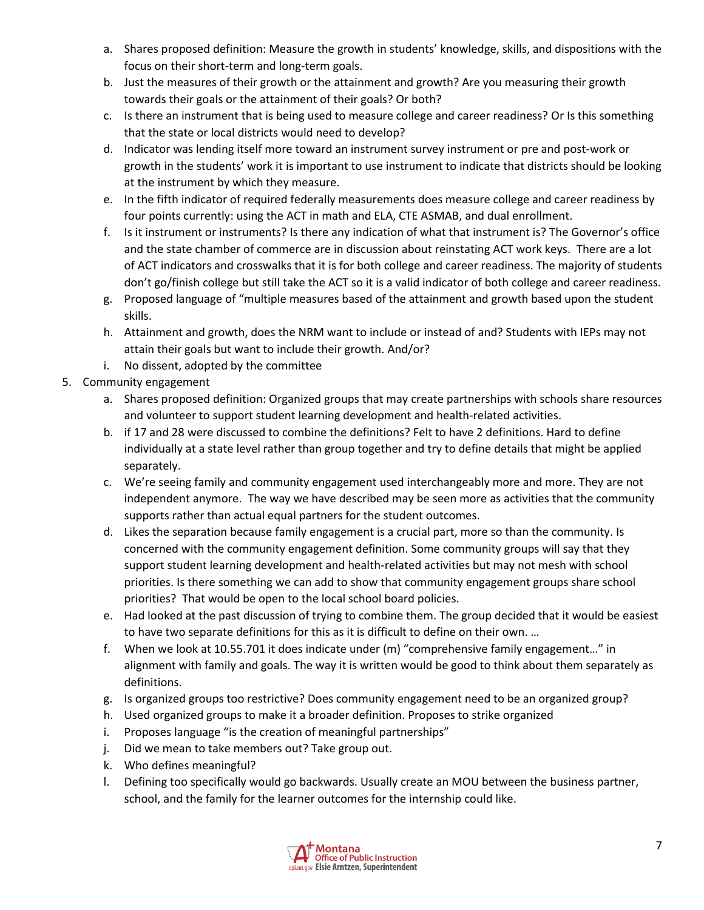- a. Shares proposed definition: Measure the growth in students' knowledge, skills, and dispositions with the focus on their short-term and long-term goals.
- b. Just the measures of their growth or the attainment and growth? Are you measuring their growth towards their goals or the attainment of their goals? Or both?
- c. Is there an instrument that is being used to measure college and career readiness? Or Is this something that the state or local districts would need to develop?
- d. Indicator was lending itself more toward an instrument survey instrument or pre and post-work or growth in the students' work it is important to use instrument to indicate that districts should be looking at the instrument by which they measure.
- e. In the fifth indicator of required federally measurements does measure college and career readiness by four points currently: using the ACT in math and ELA, CTE ASMAB, and dual enrollment.
- f. Is it instrument or instruments? Is there any indication of what that instrument is? The Governor's office and the state chamber of commerce are in discussion about reinstating ACT work keys. There are a lot of ACT indicators and crosswalks that it is for both college and career readiness. The majority of students don't go/finish college but still take the ACT so it is a valid indicator of both college and career readiness.
- g. Proposed language of "multiple measures based of the attainment and growth based upon the student skills.
- h. Attainment and growth, does the NRM want to include or instead of and? Students with IEPs may not attain their goals but want to include their growth. And/or?
- i. No dissent, adopted by the committee
- 5. Community engagement
	- a. Shares proposed definition: Organized groups that may create partnerships with schools share resources and volunteer to support student learning development and health-related activities.
	- b. if 17 and 28 were discussed to combine the definitions? Felt to have 2 definitions. Hard to define individually at a state level rather than group together and try to define details that might be applied separately.
	- c. We're seeing family and community engagement used interchangeably more and more. They are not independent anymore. The way we have described may be seen more as activities that the community supports rather than actual equal partners for the student outcomes.
	- d. Likes the separation because family engagement is a crucial part, more so than the community. Is concerned with the community engagement definition. Some community groups will say that they support student learning development and health-related activities but may not mesh with school priorities. Is there something we can add to show that community engagement groups share school priorities? That would be open to the local school board policies.
	- e. Had looked at the past discussion of trying to combine them. The group decided that it would be easiest to have two separate definitions for this as it is difficult to define on their own. …
	- f. When we look at 10.55.701 it does indicate under (m) "comprehensive family engagement…" in alignment with family and goals. The way it is written would be good to think about them separately as definitions.
	- g. Is organized groups too restrictive? Does community engagement need to be an organized group?
	- h. Used organized groups to make it a broader definition. Proposes to strike organized
	- i. Proposes language "is the creation of meaningful partnerships"
	- j. Did we mean to take members out? Take group out.
	- k. Who defines meaningful?
	- l. Defining too specifically would go backwards. Usually create an MOU between the business partner, school, and the family for the learner outcomes for the internship could like.

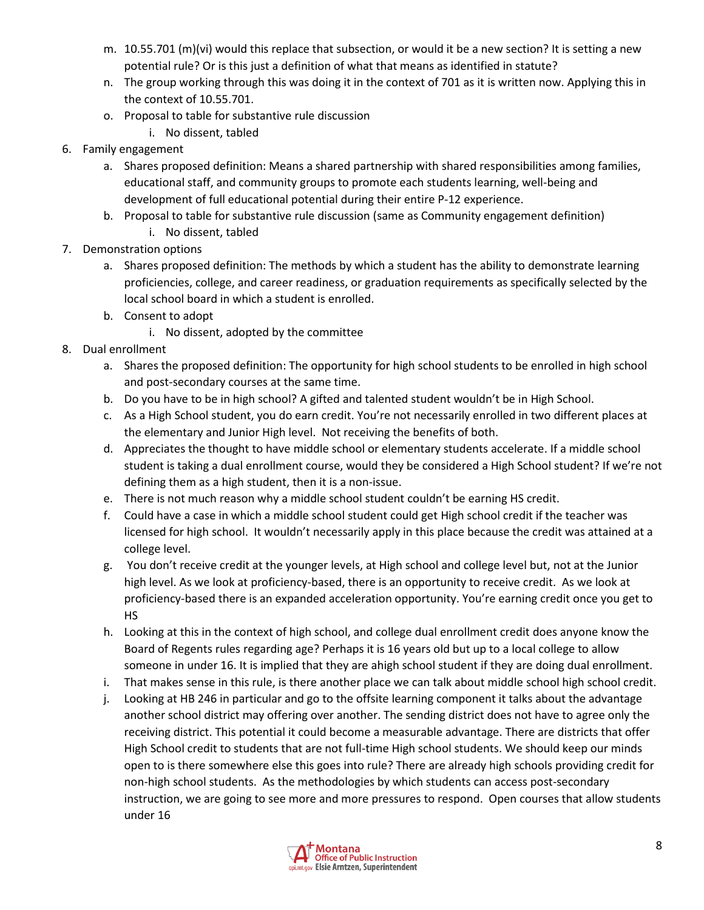- m. 10.55.701 (m)(vi) would this replace that subsection, or would it be a new section? It is setting a new potential rule? Or is this just a definition of what that means as identified in statute?
- n. The group working through this was doing it in the context of 701 as it is written now. Applying this in the context of 10.55.701.
- o. Proposal to table for substantive rule discussion
	- i. No dissent, tabled
- 6. Family engagement
	- a. Shares proposed definition: Means a shared partnership with shared responsibilities among families, educational staff, and community groups to promote each students learning, well-being and development of full educational potential during their entire P-12 experience.
	- b. Proposal to table for substantive rule discussion (same as Community engagement definition) i. No dissent, tabled
- 7. Demonstration options
	- a. Shares proposed definition: The methods by which a student has the ability to demonstrate learning proficiencies, college, and career readiness, or graduation requirements as specifically selected by the local school board in which a student is enrolled.
	- b. Consent to adopt
		- i. No dissent, adopted by the committee
- 8. Dual enrollment
	- a. Shares the proposed definition: The opportunity for high school students to be enrolled in high school and post-secondary courses at the same time.
	- b. Do you have to be in high school? A gifted and talented student wouldn't be in High School.
	- c. As a High School student, you do earn credit. You're not necessarily enrolled in two different places at the elementary and Junior High level. Not receiving the benefits of both.
	- d. Appreciates the thought to have middle school or elementary students accelerate. If a middle school student is taking a dual enrollment course, would they be considered a High School student? If we're not defining them as a high student, then it is a non-issue.
	- e. There is not much reason why a middle school student couldn't be earning HS credit.
	- f. Could have a case in which a middle school student could get High school credit if the teacher was licensed for high school. It wouldn't necessarily apply in this place because the credit was attained at a college level.
	- g. You don't receive credit at the younger levels, at High school and college level but, not at the Junior high level. As we look at proficiency-based, there is an opportunity to receive credit. As we look at proficiency-based there is an expanded acceleration opportunity. You're earning credit once you get to HS
	- h. Looking at this in the context of high school, and college dual enrollment credit does anyone know the Board of Regents rules regarding age? Perhaps it is 16 years old but up to a local college to allow someone in under 16. It is implied that they are ahigh school student if they are doing dual enrollment.
	- i. That makes sense in this rule, is there another place we can talk about middle school high school credit.
	- j. Looking at HB 246 in particular and go to the offsite learning component it talks about the advantage another school district may offering over another. The sending district does not have to agree only the receiving district. This potential it could become a measurable advantage. There are districts that offer High School credit to students that are not full-time High school students. We should keep our minds open to is there somewhere else this goes into rule? There are already high schools providing credit for non-high school students. As the methodologies by which students can access post-secondary instruction, we are going to see more and more pressures to respond. Open courses that allow students under 16

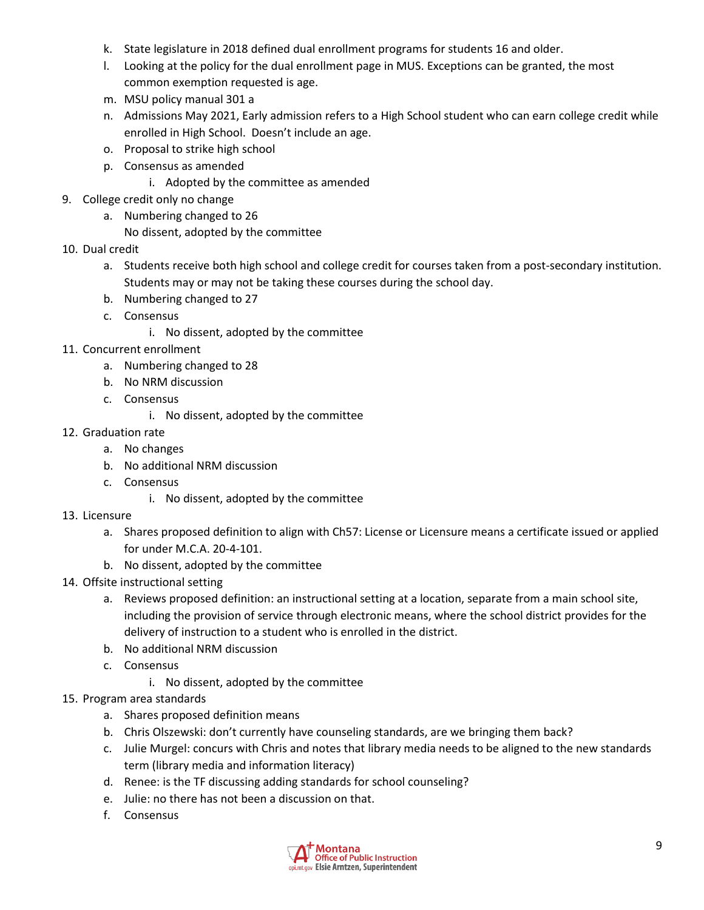- k. State legislature in 2018 defined dual enrollment programs for students 16 and older.
- l. Looking at the policy for the dual enrollment page in MUS. Exceptions can be granted, the most common exemption requested is age.
- m. MSU policy manual 301 a
- n. Admissions May 2021, Early admission refers to a High School student who can earn college credit while enrolled in High School. Doesn't include an age.
- o. Proposal to strike high school
- p. Consensus as amended
	- i. Adopted by the committee as amended
- 9. College credit only no change
	- a. Numbering changed to 26
		- No dissent, adopted by the committee
- 10. Dual credit
	- a. Students receive both high school and college credit for courses taken from a post-secondary institution. Students may or may not be taking these courses during the school day.
	- b. Numbering changed to 27
	- c. Consensus
		- i. No dissent, adopted by the committee
- 11. Concurrent enrollment
	- a. Numbering changed to 28
	- b. No NRM discussion
	- c. Consensus
		- i. No dissent, adopted by the committee
- 12. Graduation rate
	- a. No changes
	- b. No additional NRM discussion
	- c. Consensus
		- i. No dissent, adopted by the committee
- 13. Licensure
	- a. Shares proposed definition to align with Ch57: License or Licensure means a certificate issued or applied for under M.C.A. 20-4-101.
	- b. No dissent, adopted by the committee
- 14. Offsite instructional setting
	- a. Reviews proposed definition: an instructional setting at a location, separate from a main school site, including the provision of service through electronic means, where the school district provides for the delivery of instruction to a student who is enrolled in the district.
	- b. No additional NRM discussion
	- c. Consensus
		- i. No dissent, adopted by the committee
- 15. Program area standards
	- a. Shares proposed definition means
	- b. Chris Olszewski: don't currently have counseling standards, are we bringing them back?
	- c. Julie Murgel: concurs with Chris and notes that library media needs to be aligned to the new standards term (library media and information literacy)
	- d. Renee: is the TF discussing adding standards for school counseling?
	- e. Julie: no there has not been a discussion on that.
	- f. Consensus

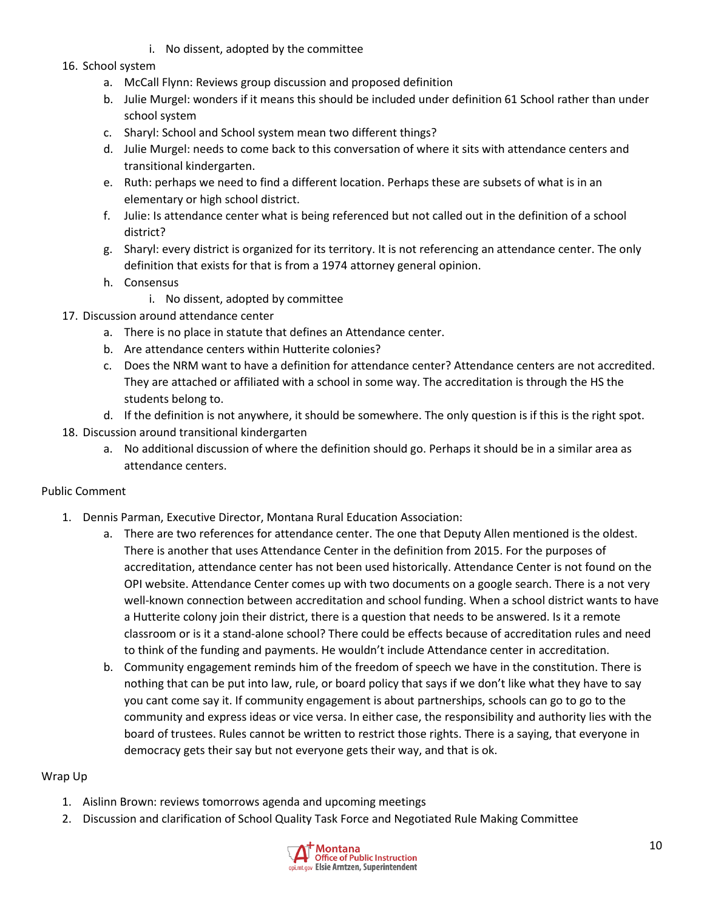- i. No dissent, adopted by the committee
- 16. School system
	- a. McCall Flynn: Reviews group discussion and proposed definition
	- b. Julie Murgel: wonders if it means this should be included under definition 61 School rather than under school system
	- c. Sharyl: School and School system mean two different things?
	- d. Julie Murgel: needs to come back to this conversation of where it sits with attendance centers and transitional kindergarten.
	- e. Ruth: perhaps we need to find a different location. Perhaps these are subsets of what is in an elementary or high school district.
	- f. Julie: Is attendance center what is being referenced but not called out in the definition of a school district?
	- g. Sharyl: every district is organized for its territory. It is not referencing an attendance center. The only definition that exists for that is from a 1974 attorney general opinion.
	- h. Consensus
		- i. No dissent, adopted by committee
- 17. Discussion around attendance center
	- a. There is no place in statute that defines an Attendance center.
	- b. Are attendance centers within Hutterite colonies?
	- c. Does the NRM want to have a definition for attendance center? Attendance centers are not accredited. They are attached or affiliated with a school in some way. The accreditation is through the HS the students belong to.
	- d. If the definition is not anywhere, it should be somewhere. The only question is if this is the right spot.
- 18. Discussion around transitional kindergarten
	- a. No additional discussion of where the definition should go. Perhaps it should be in a similar area as attendance centers.

## Public Comment

- 1. Dennis Parman, Executive Director, Montana Rural Education Association:
	- a. There are two references for attendance center. The one that Deputy Allen mentioned is the oldest. There is another that uses Attendance Center in the definition from 2015. For the purposes of accreditation, attendance center has not been used historically. Attendance Center is not found on the OPI website. Attendance Center comes up with two documents on a google search. There is a not very well-known connection between accreditation and school funding. When a school district wants to have a Hutterite colony join their district, there is a question that needs to be answered. Is it a remote classroom or is it a stand-alone school? There could be effects because of accreditation rules and need to think of the funding and payments. He wouldn't include Attendance center in accreditation.
	- b. Community engagement reminds him of the freedom of speech we have in the constitution. There is nothing that can be put into law, rule, or board policy that says if we don't like what they have to say you cant come say it. If community engagement is about partnerships, schools can go to go to the community and express ideas or vice versa. In either case, the responsibility and authority lies with the board of trustees. Rules cannot be written to restrict those rights. There is a saying, that everyone in democracy gets their say but not everyone gets their way, and that is ok.

## Wrap Up

- 1. Aislinn Brown: reviews tomorrows agenda and upcoming meetings
- 2. Discussion and clarification of School Quality Task Force and Negotiated Rule Making Committee